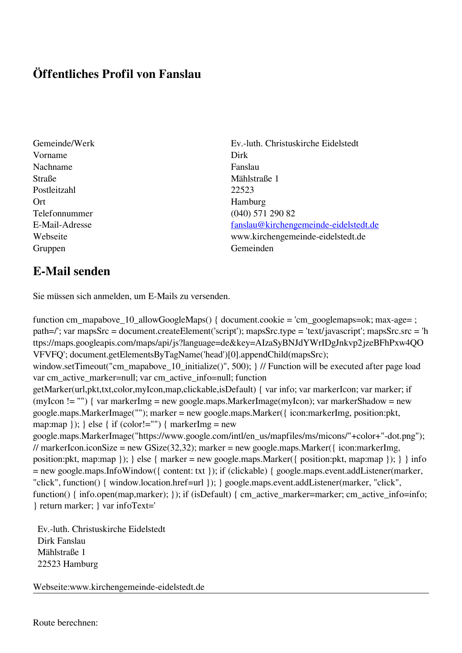## **Öffentliches Profil von Fanslau**

- Vorname Dirk Nachname Fanslau Straße 1 Mählstraße 1 Postleitzahl 22523 Ort Hamburg Gruppen Gemeinden Gemeinden Gemeinden Gemeinden Gemeinden Gemeinden Gemeinden Gemeinden Gemeinden Gemeinden G
- Gemeinde/Werk Ev.-luth. Christuskirche Eidelstedt Telefonnummer (040) 571 290 82 E-Mail-Adresse [fanslau@kirchengemeinde-eidelstedt.de](mailto:fanslau@kirchengemeinde-eidelstedt.de) Webseite www.kirchengemeinde-eidelstedt.de

## **E-Mail senden**

Sie müssen sich anmelden, um E-Mails zu versenden.

function cm\_mapabove\_10\_allowGoogleMaps() { document.cookie = 'cm\_googlemaps=ok; max-age= ; path=/'; var mapsSrc = document.createElement('script'); mapsSrc.type = 'text/javascript'; mapsSrc.src = 'h ttps://maps.googleapis.com/maps/api/js?language=de&key=AIzaSyBNJdYWrIDgJnkvp2jzeBFhPxw4QO VFVFQ'; document.getElementsByTagName('head')[0].appendChild(mapsSrc); window.setTimeout("cm\_mapabove\_10\_initialize()", 500); } // Function will be executed after page load var cm\_active\_marker=null; var cm\_active\_info=null; function getMarker(url,pkt,txt,color,myIcon,map,clickable,isDefault) { var info; var markerIcon; var marker; if (myIcon != "") { var markerImg = new google.maps.MarkerImage(myIcon); var markerShadow = new google.maps.MarkerImage(""); marker = new google.maps.Marker({ icon:markerImg, position:pkt, map:map  $\}$ ;  $\}$  else  $\{$  if (color!="")  $\{$  markerImg = new google.maps.MarkerImage("https://www.google.com/intl/en\_us/mapfiles/ms/micons/"+color+"-dot.png"); // markerIcon.iconSize = new GSize(32,32); marker = new google.maps.Marker({ $i$ con:markerImg, position:pkt, map:map }); } else { marker = new google.maps.Marker({ position:pkt, map:map }); } } info = new google.maps.InfoWindow({ content: txt }); if (clickable) { google.maps.event.addListener(marker, "click", function() { window.location.href=url }); } google.maps.event.addListener(marker, "click", function() { info.open(map,marker); }); if (isDefault) { cm\_active\_marker=marker; cm\_active\_info=info; } return marker; } var infoText='

 Ev.-luth. Christuskirche Eidelstedt Dirk Fanslau Mählstraße 1 22523 Hamburg

Webseite:www.kirchengemeinde-eidelstedt.de